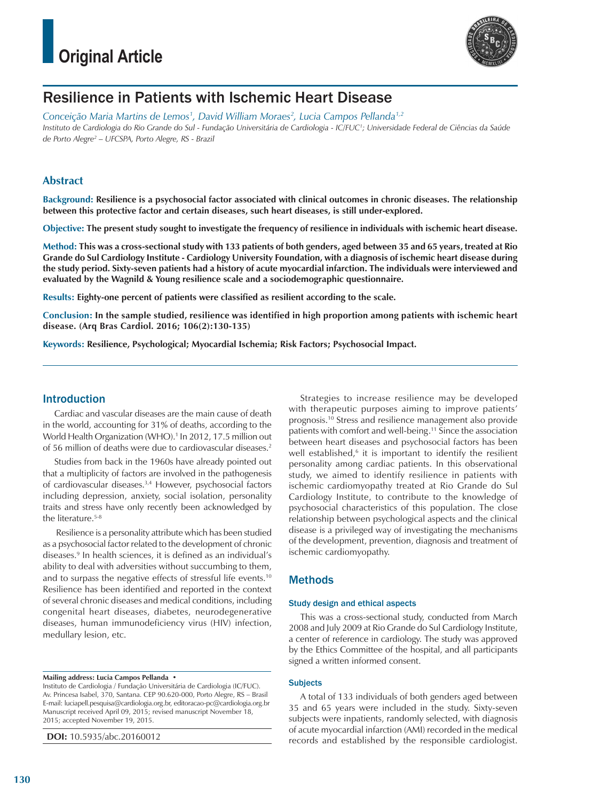

## Resilience in Patients with Ischemic Heart Disease

*Conceição Maria Martins de Lemos1 , David William Moraes2 , Lucia Campos Pellanda1,2 Instituto de Cardiologia do Rio Grande do Sul - Fundação Universitária de Cardiologia - IC/FUC1 ; Universidade Federal de Ciências da Saúde de Porto Alegre2 – UFCSPA, Porto Alegre, RS - Brazil*

## **Abstract**

**Background: Resilience is a psychosocial factor associated with clinical outcomes in chronic diseases. The relationship between this protective factor and certain diseases, such heart diseases, is still under-explored.** 

**Objective: The present study sought to investigate the frequency of resilience in individuals with ischemic heart disease.**

**Method: This was a cross-sectional study with 133 patients of both genders, aged between 35 and 65 years, treated at Rio Grande do Sul Cardiology Institute - Cardiology University Foundation, with a diagnosis of ischemic heart disease during the study period. Sixty-seven patients had a history of acute myocardial infarction. The individuals were interviewed and evaluated by the Wagnild & Young resilience scale and a sociodemographic questionnaire.** 

**Results: Eighty-one percent of patients were classified as resilient according to the scale.** 

**Conclusion: In the sample studied, resilience was identified in high proportion among patients with ischemic heart disease. (Arq Bras Cardiol. 2016; 106(2):130-135)**

**Keywords: Resilience, Psychological; Myocardial Ischemia; Risk Factors; Psychosocial Impact.**

### Introduction

Cardiac and vascular diseases are the main cause of death in the world, accounting for 31% of deaths, according to the World Health Organization (WHO).1 In 2012, 17.5 million out of 56 million of deaths were due to cardiovascular diseases.2

Studies from back in the 1960s have already pointed out that a multiplicity of factors are involved in the pathogenesis of cardiovascular diseases.<sup>3,4</sup> However, psychosocial factors including depression, anxiety, social isolation, personality traits and stress have only recently been acknowledged by the literature.<sup>5-8</sup>

 Resilience is a personality attribute which has been studied as a psychosocial factor related to the development of chronic diseases.9 In health sciences, it is defined as an individual's ability to deal with adversities without succumbing to them, and to surpass the negative effects of stressful life events.10 Resilience has been identified and reported in the context of several chronic diseases and medical conditions, including congenital heart diseases, diabetes, neurodegenerative diseases, human immunodeficiency virus (HIV) infection, medullary lesion, etc.

**Mailing address: Lucia Campos Pellanda •**

Instituto de Cardiologia / Fundação Universitária de Cardiologia (IC/FUC). Av. Princesa Isabel, 370, Santana. CEP 90.620-000, Porto Alegre, RS – Brasil E-mail: luciapell.pesquisa@cardiologia.org.br, editoracao-pc@cardiologia.org.br Manuscript received April 09, 2015; revised manuscript November 18, 2015; accepted November 19, 2015.

**DOI:** 10.5935/abc.20160012

Strategies to increase resilience may be developed with therapeutic purposes aiming to improve patients' prognosis.10 Stress and resilience management also provide patients with comfort and well-being.11 Since the association between heart diseases and psychosocial factors has been well established,<sup>6</sup> it is important to identify the resilient personality among cardiac patients. In this observational study, we aimed to identify resilience in patients with ischemic cardiomyopathy treated at Rio Grande do Sul Cardiology Institute, to contribute to the knowledge of psychosocial characteristics of this population. The close relationship between psychological aspects and the clinical disease is a privileged way of investigating the mechanisms of the development, prevention, diagnosis and treatment of ischemic cardiomyopathy.

## Methods

### Study design and ethical aspects

This was a cross-sectional study, conducted from March 2008 and July 2009 at Rio Grande do Sul Cardiology Institute, a center of reference in cardiology. The study was approved by the Ethics Committee of the hospital, and all participants signed a written informed consent.

### **Subjects**

A total of 133 individuals of both genders aged between 35 and 65 years were included in the study. Sixty-seven subjects were inpatients, randomly selected, with diagnosis of acute myocardial infarction (AMI) recorded in the medical records and established by the responsible cardiologist.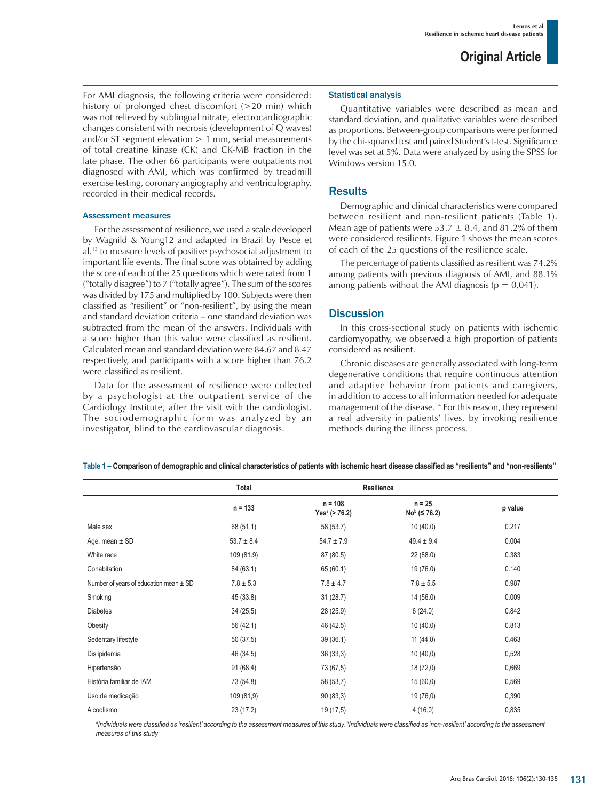For AMI diagnosis, the following criteria were considered: history of prolonged chest discomfort (>20 min) which was not relieved by sublingual nitrate, electrocardiographic changes consistent with necrosis (development of Q waves) and/or ST segment elevation  $> 1$  mm, serial measurements of total creatine kinase (CK) and CK-MB fraction in the late phase. The other 66 participants were outpatients not diagnosed with AMI, which was confirmed by treadmill exercise testing, coronary angiography and ventriculography, recorded in their medical records.

#### Assessment measures

For the assessment of resilience, we used a scale developed by Wagnild & Young12 and adapted in Brazil by Pesce et al.13 to measure levels of positive psychosocial adjustment to important life events. The final score was obtained by adding the score of each of the 25 questions which were rated from 1 ("totally disagree") to 7 ("totally agree"). The sum of the scores was divided by 175 and multiplied by 100. Subjects were then classified as "resilient" or "non-resilient", by using the mean and standard deviation criteria – one standard deviation was subtracted from the mean of the answers. Individuals with a score higher than this value were classified as resilient. Calculated mean and standard deviation were 84.67 and 8.47 respectively, and participants with a score higher than 76.2 were classified as resilient.

Data for the assessment of resilience were collected by a psychologist at the outpatient service of the Cardiology Institute, after the visit with the cardiologist. The sociodemographic form was analyzed by an investigator, blind to the cardiovascular diagnosis.

#### Statistical analysis

Quantitative variables were described as mean and standard deviation, and qualitative variables were described as proportions. Between-group comparisons were performed by the chi-squared test and paired Student's t-test. Significance level was set at 5%. Data were analyzed by using the SPSS for Windows version 15.0.

### **Results**

Demographic and clinical characteristics were compared between resilient and non-resilient patients (Table 1). Mean age of patients were 53.7  $\pm$  8.4, and 81.2% of them were considered resilients. Figure 1 shows the mean scores of each of the 25 questions of the resilience scale.

The percentage of patients classified as resilient was 74.2% among patients with previous diagnosis of AMI, and 88.1% among patients without the AMI diagnosis ( $p = 0.041$ ).

### **Discussion**

In this cross-sectional study on patients with ischemic cardiomyopathy, we observed a high proportion of patients considered as resilient.

Chronic diseases are generally associated with long-term degenerative conditions that require continuous attention and adaptive behavior from patients and caregivers, in addition to access to all information needed for adequate management of the disease.14 For this reason, they represent a real adversity in patients' lives, by invoking resilience methods during the illness process.

|                                            | Resilience<br>Total |                                            |                                   |         |
|--------------------------------------------|---------------------|--------------------------------------------|-----------------------------------|---------|
|                                            | $n = 133$           | $n = 108$<br>Yes <sup>a</sup> ( $> 76.2$ ) | $n = 25$<br>$Nob$ ( $\leq 76.2$ ) | p value |
| Male sex                                   | 68 (51.1)           | 58 (53.7)                                  | 10(40.0)                          | 0.217   |
| Age, mean $\pm$ SD                         | $53.7 \pm 8.4$      | $54.7 \pm 7.9$                             | $49.4 \pm 9.4$                    | 0.004   |
| White race                                 | 109 (81.9)          | 87 (80.5)                                  | 22(88.0)                          | 0.383   |
| Cohabitation                               | 84 (63.1)           | 65 (60.1)                                  | 19 (76.0)                         | 0.140   |
| Number of years of education mean $\pm$ SD | $7.8 \pm 5.3$       | $7.8 \pm 4.7$                              | $7.8 \pm 5.5$                     | 0.987   |
| Smoking                                    | 45 (33.8)           | 31(28.7)                                   | 14(56.0)                          | 0.009   |
| <b>Diabetes</b>                            | 34(25.5)            | 28 (25.9)                                  | 6(24.0)                           | 0.842   |
| Obesity                                    | 56 (42.1)           | 46 (42.5)                                  | 10(40.0)                          | 0.813   |
| Sedentary lifestyle                        | 50(37.5)            | 39(36.1)                                   | 11(44.0)                          | 0.463   |
| Dislipidemia                               | 46 (34,5)           | 36(33,3)                                   | 10(40,0)                          | 0,528   |
| Hipertensão                                | 91(68,4)            | 73 (67,5)                                  | 18 (72,0)                         | 0,669   |
| História familiar de IAM                   | 73 (54,8)           | 58 (53,7)                                  | 15(60,0)                          | 0,569   |
| Uso de medicação                           | 109 (81,9)          | 90(83,3)                                   | 19 (76,0)                         | 0,390   |
| Alcoolismo                                 | 23(17,2)            | 19 (17,5)                                  | 4(16,0)                           | 0,835   |

**Table 1 – Comparison of demographic and clinical characteristics of patients with ischemic heart disease classified as "resilients" and "non-resilients"** 

 $^{\rm a}$ Individuals were classified as 'resilient' according to the assessment measures of this study. <sup>b</sup>Individuals were classified as 'non-resilient' according to the assessment *measures of this study*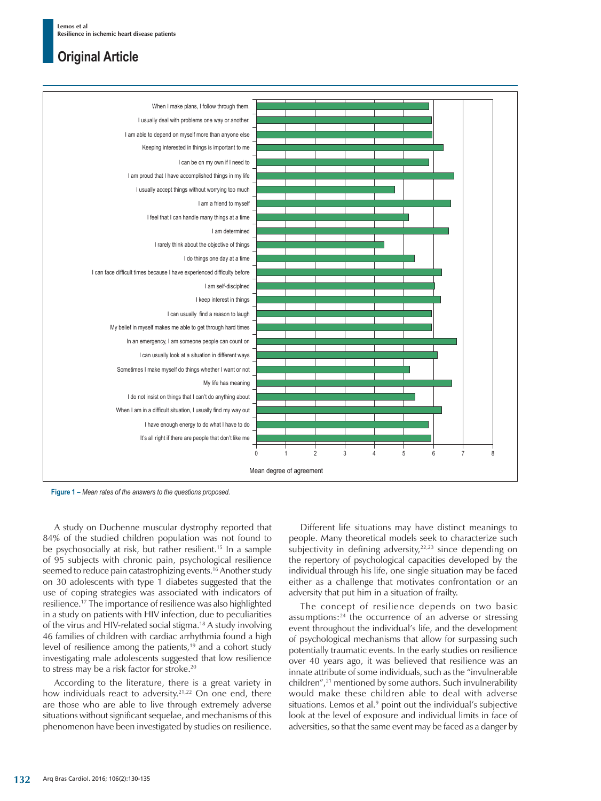

**Figure 1 –** *Mean rates of the answers to the questions proposed.* 

A study on Duchenne muscular dystrophy reported that 84% of the studied children population was not found to be psychosocially at risk, but rather resilient.<sup>15</sup> In a sample of 95 subjects with chronic pain, psychological resilience seemed to reduce pain catastrophizing events.<sup>16</sup> Another study on 30 adolescents with type 1 diabetes suggested that the use of coping strategies was associated with indicators of resilience.17 The importance of resilience was also highlighted in a study on patients with HIV infection, due to peculiarities of the virus and HIV-related social stigma.18 A study involving 46 families of children with cardiac arrhythmia found a high level of resilience among the patients, $19$  and a cohort study investigating male adolescents suggested that low resilience to stress may be a risk factor for stroke.20

According to the literature, there is a great variety in how individuals react to adversity.<sup>21,22</sup> On one end, there are those who are able to live through extremely adverse situations without significant sequelae, and mechanisms of this phenomenon have been investigated by studies on resilience.

Different life situations may have distinct meanings to people. Many theoretical models seek to characterize such subjectivity in defining adversity, $22,23$  since depending on the repertory of psychological capacities developed by the individual through his life, one single situation may be faced either as a challenge that motivates confrontation or an adversity that put him in a situation of frailty.

The concept of resilience depends on two basic assumptions:24 the occurrence of an adverse or stressing event throughout the individual's life, and the development of psychological mechanisms that allow for surpassing such potentially traumatic events. In the early studies on resilience over 40 years ago, it was believed that resilience was an innate attribute of some individuals, such as the "invulnerable children",<sup>21</sup> mentioned by some authors. Such invulnerability would make these children able to deal with adverse situations. Lemos et al.<sup>9</sup> point out the individual's subjective look at the level of exposure and individual limits in face of adversities, so that the same event may be faced as a danger by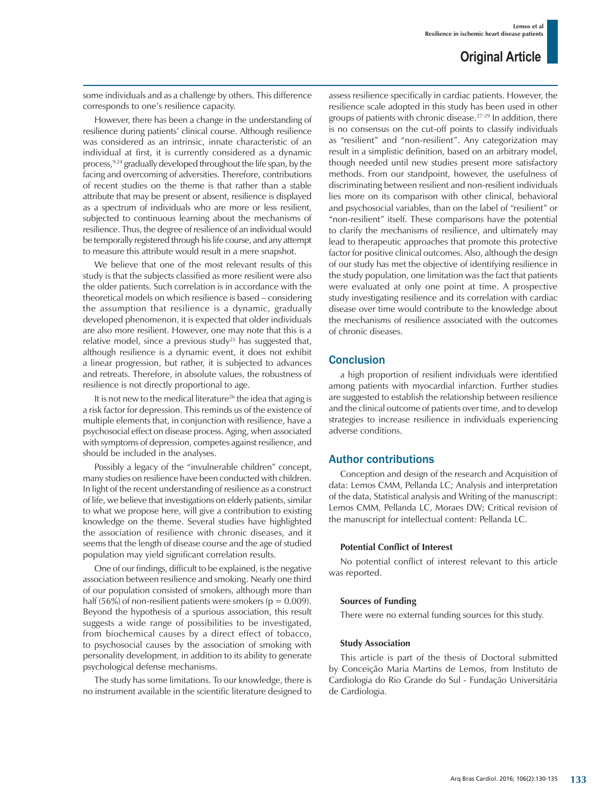some individuals and as a challenge by others. This difference corresponds to one's resilience capacity.

However, there has been a change in the understanding of resilience during patients' clinical course. Although resilience was considered as an intrinsic, innate characteristic of an individual at first, it is currently considered as a dynamic process, <sup>9,24</sup> gradually developed throughout the life span, by the facing and overcoming of adversities. Therefore, contributions of recent studies on the theme is that rather than a stable attribute that may be present or absent, resilience is displayed as a spectrum of individuals who are more or less resilient, subjected to continuous learning about the mechanisms of resilience. Thus, the degree of resilience of an individual would be temporally registered through his life course, and any attempt to measure this attribute would result in a mere snapshot.

We believe that one of the most relevant results of this study is that the subjects classified as more resilient were also the older patients. Such correlation is in accordance with the theoretical models on which resilience is based – considering the assumption that resilience is a dynamic, gradually developed phenomenon, it is expected that older individuals are also more resilient. However, one may note that this is a relative model, since a previous study<sup>25</sup> has suggested that, although resilience is a dynamic event, it does not exhibit a linear progression, but rather, it is subjected to advances and retreats. Therefore, in absolute values, the robustness of resilience is not directly proportional to age.

It is not new to the medical literature<sup>26</sup> the idea that aging is a risk factor for depression. This reminds us of the existence of multiple elements that, in conjunction with resilience, have a psychosocial effect on disease process. Aging, when associated with symptoms of depression, competes against resilience, and should be included in the analyses.

Possibly a legacy of the "invulnerable children" concept, many studies on resilience have been conducted with children. In light of the recent understanding of resilience as a construct of life, we believe that investigations on elderly patients, similar to what we propose here, will give a contribution to existing knowledge on the theme. Several studies have highlighted the association of resilience with chronic diseases, and it seems that the length of disease course and the age of studied population may yield significant correlation results.

One of our findings, difficult to be explained, is the negative association between resilience and smoking. Nearly one third of our population consisted of smokers, although more than half (56%) of non-resilient patients were smokers ( $p = 0.009$ ). Beyond the hypothesis of a spurious association, this result suggests a wide range of possibilities to be investigated, from biochemical causes by a direct effect of tobacco, to psychosocial causes by the association of smoking with personality development, in addition to its ability to generate psychological defense mechanisms.

The study has some limitations. To our knowledge, there is no instrument available in the scientific literature designed to assess resilience specifically in cardiac patients. However, the resilience scale adopted in this study has been used in other groups of patients with chronic disease.27-29 In addition, there is no consensus on the cut-off points to classify individuals as "resilient" and "non-resilient". Any categorization may result in a simplistic definition, based on an arbitrary model, though needed until new studies present more satisfactory methods. From our standpoint, however, the usefulness of discriminating between resilient and non-resilient individuals lies more on its comparison with other clinical, behavioral and psychosocial variables, than on the label of "resilient" or "non-resilient" itself. These comparisons have the potential to clarify the mechanisms of resilience, and ultimately may lead to therapeutic approaches that promote this protective factor for positive clinical outcomes. Also, although the design of our study has met the objective of identifying resilience in the study population, one limitation was the fact that patients were evaluated at only one point at time. A prospective study investigating resilience and its correlation with cardiac disease over time would contribute to the knowledge about the mechanisms of resilience associated with the outcomes of chronic diseases.

### **Conclusion**

a high proportion of resilient individuals were identified among patients with myocardial infarction. Further studies are suggested to establish the relationship between resilience and the clinical outcome of patients over time, and to develop strategies to increase resilience in individuals experiencing adverse conditions.

### Author contributions

Conception and design of the research and Acquisition of data: Lemos CMM, Pellanda LC; Analysis and interpretation of the data, Statistical analysis and Writing of the manuscript: Lemos CMM, Pellanda LC, Moraes DW; Critical revision of the manuscript for intellectual content: Pellanda LC.

### **Potential Conflict of Interest**

No potential conflict of interest relevant to this article was reported.

### **Sources of Funding**

There were no external funding sources for this study.

### **Study Association**

This article is part of the thesis of Doctoral submitted by Conceição Maria Martins de Lemos, from Instituto de Cardiologia do Rio Grande do Sul - Fundação Universitária de Cardiologia.